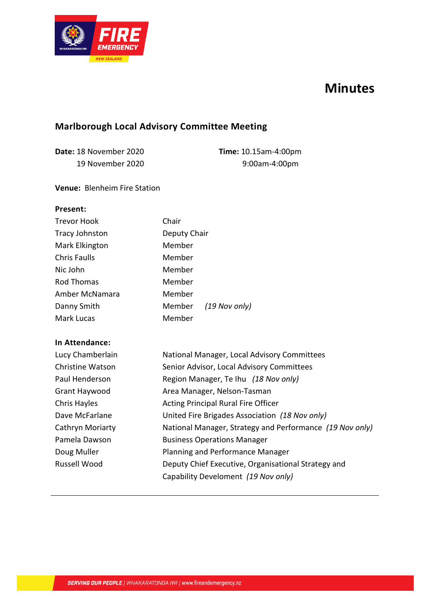

# **Minutes**

## **Marlborough Local Advisory Committee Meeting**

**Date:** 18 November 2020 19 November 2020 **Time:** 10.15am-4:00pm 9:00am-4:00pm

#### **Venue:** Blenheim Fire Station

#### **Present:**

| <b>Trevor Hook</b>  | Chair                                                    |  |  |  |
|---------------------|----------------------------------------------------------|--|--|--|
| Tracy Johnston      | Deputy Chair                                             |  |  |  |
| Mark Elkington      | Member                                                   |  |  |  |
| <b>Chris Faulls</b> | Member                                                   |  |  |  |
| Nic John            | Member                                                   |  |  |  |
| Rod Thomas          | Member                                                   |  |  |  |
| Amber McNamara      | Member                                                   |  |  |  |
| Danny Smith         | Member<br>(19 Nov only)                                  |  |  |  |
| Mark Lucas          | Member                                                   |  |  |  |
| In Attendance:      |                                                          |  |  |  |
| Lucy Chamberlain    | National Manager, Local Advisory Committees              |  |  |  |
| Christine Watson    | Senior Advisor, Local Advisory Committees                |  |  |  |
| Paul Henderson      | Region Manager, Te Ihu (18 Nov only)                     |  |  |  |
| Grant Haywood       | Area Manager, Nelson-Tasman                              |  |  |  |
| Chris Hayles        | <b>Acting Principal Rural Fire Officer</b>               |  |  |  |
| Dave McFarlane      | United Fire Brigades Association (18 Nov only)           |  |  |  |
| Cathryn Moriarty    | National Manager, Strategy and Performance (19 Nov only) |  |  |  |
| Pamela Dawson       | <b>Business Operations Manager</b>                       |  |  |  |
| Doug Muller         | Planning and Performance Manager                         |  |  |  |
| Russell Wood        | Deputy Chief Executive, Organisational Strategy and      |  |  |  |
|                     | Capability Develoment (19 Nov only)                      |  |  |  |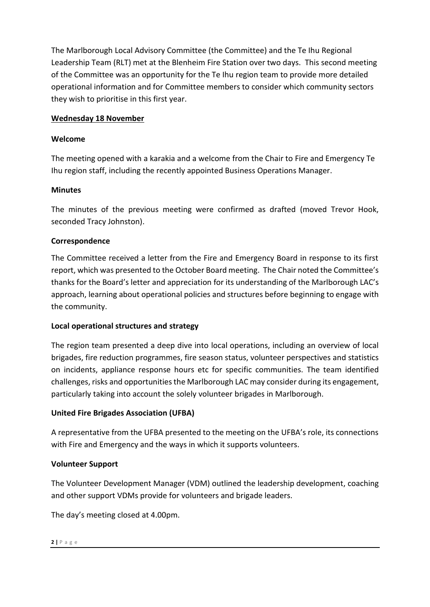The Marlborough Local Advisory Committee (the Committee) and the Te Ihu Regional Leadership Team (RLT) met at the Blenheim Fire Station over two days. This second meeting of the Committee was an opportunity for the Te Ihu region team to provide more detailed operational information and for Committee members to consider which community sectors they wish to prioritise in this first year.

## **Wednesday 18 November**

## **Welcome**

The meeting opened with a karakia and a welcome from the Chair to Fire and Emergency Te Ihu region staff, including the recently appointed Business Operations Manager.

## **Minutes**

The minutes of the previous meeting were confirmed as drafted (moved Trevor Hook, seconded Tracy Johnston).

## **Correspondence**

The Committee received a letter from the Fire and Emergency Board in response to its first report, which was presented to the October Board meeting. The Chair noted the Committee's thanks for the Board's letter and appreciation for its understanding of the Marlborough LAC's approach, learning about operational policies and structures before beginning to engage with the community.

## **Local operational structures and strategy**

The region team presented a deep dive into local operations, including an overview of local brigades, fire reduction programmes, fire season status, volunteer perspectives and statistics on incidents, appliance response hours etc for specific communities. The team identified challenges, risks and opportunitiesthe Marlborough LAC may consider during its engagement, particularly taking into account the solely volunteer brigades in Marlborough.

## **United Fire Brigades Association (UFBA)**

A representative from the UFBA presented to the meeting on the UFBA's role, its connections with Fire and Emergency and the ways in which it supports volunteers.

## **Volunteer Support**

The Volunteer Development Manager (VDM) outlined the leadership development, coaching and other support VDMs provide for volunteers and brigade leaders.

The day's meeting closed at 4.00pm.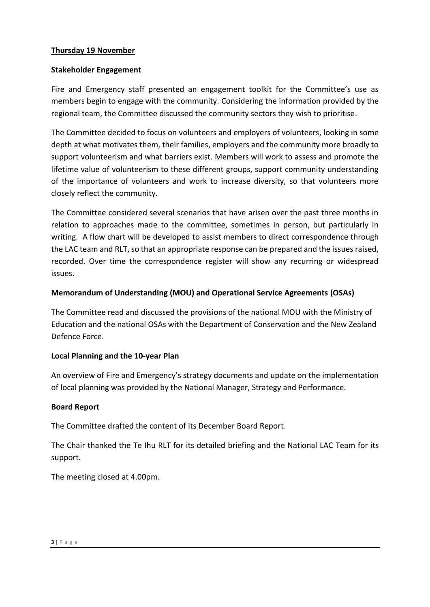#### **Thursday 19 November**

#### **Stakeholder Engagement**

Fire and Emergency staff presented an engagement toolkit for the Committee's use as members begin to engage with the community. Considering the information provided by the regional team, the Committee discussed the community sectors they wish to prioritise.

The Committee decided to focus on volunteers and employers of volunteers, looking in some depth at what motivates them, their families, employers and the community more broadly to support volunteerism and what barriers exist. Members will work to assess and promote the lifetime value of volunteerism to these different groups, support community understanding of the importance of volunteers and work to increase diversity, so that volunteers more closely reflect the community.

The Committee considered several scenarios that have arisen over the past three months in relation to approaches made to the committee, sometimes in person, but particularly in writing. A flow chart will be developed to assist members to direct correspondence through the LAC team and RLT, so that an appropriate response can be prepared and the issues raised, recorded. Over time the correspondence register will show any recurring or widespread issues.

## **Memorandum of Understanding (MOU) and Operational Service Agreements (OSAs)**

The Committee read and discussed the provisions of the national MOU with the Ministry of Education and the national OSAs with the Department of Conservation and the New Zealand Defence Force.

## **Local Planning and the 10-year Plan**

An overview of Fire and Emergency's strategy documents and update on the implementation of local planning was provided by the National Manager, Strategy and Performance.

#### **Board Report**

The Committee drafted the content of its December Board Report.

The Chair thanked the Te Ihu RLT for its detailed briefing and the National LAC Team for its support.

The meeting closed at 4.00pm.